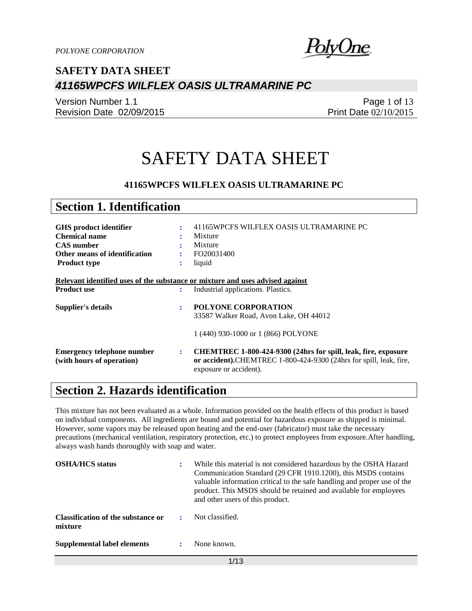

Version Number 1.1 Revision Date 02/09/2015

Page 1 of 13 Print Date 02/10/2015

# SAFETY DATA SHEET

### **41165WPCFS WILFLEX OASIS ULTRAMARINE PC**

| <b>Section 1. Identification</b>                                                                                                               |   |                                                                                                                                                                |
|------------------------------------------------------------------------------------------------------------------------------------------------|---|----------------------------------------------------------------------------------------------------------------------------------------------------------------|
|                                                                                                                                                |   |                                                                                                                                                                |
| <b>GHS</b> product identifier                                                                                                                  | ÷ | 41165WPCFS WILFLEX OASIS ULTRAMARINE PC                                                                                                                        |
| <b>Chemical name</b>                                                                                                                           |   | Mixture                                                                                                                                                        |
| <b>CAS</b> number                                                                                                                              |   | Mixture                                                                                                                                                        |
| Other means of identification                                                                                                                  | ٠ | FO20031400                                                                                                                                                     |
| <b>Product type</b>                                                                                                                            | ፡ | liquid                                                                                                                                                         |
| Relevant identified uses of the substance or mixture and uses advised against<br><b>Product use</b><br>Industrial applications. Plastics.<br>÷ |   |                                                                                                                                                                |
|                                                                                                                                                |   |                                                                                                                                                                |
| Supplier's details                                                                                                                             | ÷ | <b>POLYONE CORPORATION</b>                                                                                                                                     |
|                                                                                                                                                |   | 33587 Walker Road, Avon Lake, OH 44012                                                                                                                         |
|                                                                                                                                                |   | 1 (440) 930-1000 or 1 (866) POLYONE                                                                                                                            |
| <b>Emergency telephone number</b><br>(with hours of operation)                                                                                 | ÷ | CHEMTREC 1-800-424-9300 (24hrs for spill, leak, fire, exposure<br>or accident).CHEMTREC 1-800-424-9300 (24hrs for spill, leak, fire,<br>exposure or accident). |

### **Section 2. Hazards identification**

This mixture has not been evaluated as a whole. Information provided on the health effects of this product is based on individual components. All ingredients are bound and potential for hazardous exposure as shipped is minimal. However, some vapors may be released upon heating and the end-user (fabricator) must take the necessary precautions (mechanical ventilation, respiratory protection, etc.) to protect employees from exposure.After handling, always wash hands thoroughly with soap and water.

| <b>OSHA/HCS</b> status                        | While this material is not considered hazardous by the OSHA Hazard<br>Communication Standard (29 CFR 1910.1200), this MSDS contains<br>valuable information critical to the safe handling and proper use of the<br>product. This MSDS should be retained and available for employees<br>and other users of this product. |
|-----------------------------------------------|--------------------------------------------------------------------------------------------------------------------------------------------------------------------------------------------------------------------------------------------------------------------------------------------------------------------------|
| Classification of the substance or<br>mixture | Not classified.                                                                                                                                                                                                                                                                                                          |
| Supplemental label elements                   | None known.                                                                                                                                                                                                                                                                                                              |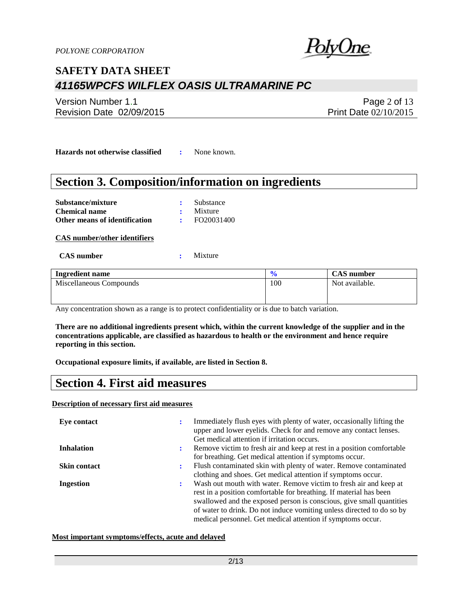

Version Number 1.1 Revision Date 02/09/2015

Page 2 of 13 Print Date 02/10/2015

**Hazards not otherwise classified :** None known.

### **Section 3. Composition/information on ingredients**

| Substance/mixture             | : Substance     |
|-------------------------------|-----------------|
| <b>Chemical name</b>          | $\cdot$ Mixture |
| Other means of identification | FO20031400      |

**CAS number/other identifiers**

#### **CAS number :** Mixture

| <b>Ingredient name</b>  | $\mathbf{0}$<br>70 | <b>CAS</b> number |
|-------------------------|--------------------|-------------------|
| Miscellaneous Compounds | 100                | Not available.    |
|                         |                    |                   |
|                         |                    |                   |

Any concentration shown as a range is to protect confidentiality or is due to batch variation.

**There are no additional ingredients present which, within the current knowledge of the supplier and in the concentrations applicable, are classified as hazardous to health or the environment and hence require reporting in this section.**

**Occupational exposure limits, if available, are listed in Section 8.**

### **Section 4. First aid measures**

**Description of necessary first aid measures**

| Eye contact         | ÷              | Immediately flush eyes with plenty of water, occasionally lifting the<br>upper and lower eyelids. Check for and remove any contact lenses.<br>Get medical attention if irritation occurs.                                                                                                                                                               |
|---------------------|----------------|---------------------------------------------------------------------------------------------------------------------------------------------------------------------------------------------------------------------------------------------------------------------------------------------------------------------------------------------------------|
| <b>Inhalation</b>   | $\ddot{\cdot}$ | Remove victim to fresh air and keep at rest in a position comfortable<br>for breathing. Get medical attention if symptoms occur.                                                                                                                                                                                                                        |
| <b>Skin contact</b> | $\ddot{\cdot}$ | Flush contaminated skin with plenty of water. Remove contaminated<br>clothing and shoes. Get medical attention if symptoms occur.                                                                                                                                                                                                                       |
| <b>Ingestion</b>    | ÷              | Wash out mouth with water. Remove victim to fresh air and keep at<br>rest in a position comfortable for breathing. If material has been<br>swallowed and the exposed person is conscious, give small quantities<br>of water to drink. Do not induce vomiting unless directed to do so by<br>medical personnel. Get medical attention if symptoms occur. |

### **Most important symptoms/effects, acute and delayed**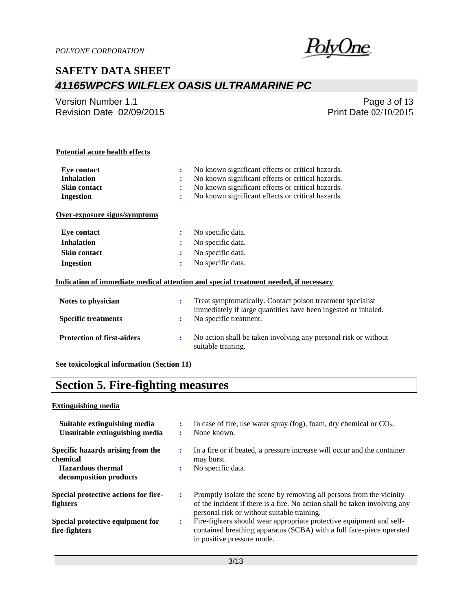

Version Number 1.1 Revision Date 02/09/2015

Page 3 of 13 Print Date 02/10/2015

### **Potential acute health effects**

| Eve contact                  |   | No known significant effects or critical hazards.                                    |
|------------------------------|---|--------------------------------------------------------------------------------------|
| <b>Inhalation</b>            |   | No known significant effects or critical hazards.                                    |
| <b>Skin contact</b>          |   | No known significant effects or critical hazards.                                    |
| Ingestion                    | ÷ | No known significant effects or critical hazards.                                    |
| Over-exposure signs/symptoms |   |                                                                                      |
| Eve contact                  | ÷ | No specific data.                                                                    |
| <b>Inhalation</b>            | ÷ | No specific data.                                                                    |
| <b>Skin contact</b>          |   | No specific data.                                                                    |
| Ingestion                    | ÷ | No specific data.                                                                    |
|                              |   | Indication of immediate medical attention and special treatment needed, if necessary |

| Notes to physician                | Treat symptomatically. Contact poison treatment specialist<br>immediately if large quantities have been ingested or inhaled. |
|-----------------------------------|------------------------------------------------------------------------------------------------------------------------------|
| <b>Specific treatments</b>        | No specific treatment.                                                                                                       |
| <b>Protection of first-aiders</b> | No action shall be taken involving any personal risk or without<br>suitable training.                                        |

**See toxicological information (Section 11)**

## **Section 5. Fire-fighting measures**

#### **Extinguishing media**

| Suitable extinguishing media<br>Unsuitable extinguishing media | In case of fire, use water spray (fog), foam, dry chemical or $CO2$ .<br>None known.                                                                                                              |  |
|----------------------------------------------------------------|---------------------------------------------------------------------------------------------------------------------------------------------------------------------------------------------------|--|
| Specific hazards arising from the<br>chemical                  | In a fire or if heated, a pressure increase will occur and the container<br>may burst.                                                                                                            |  |
| <b>Hazardous thermal</b><br>decomposition products             | No specific data.                                                                                                                                                                                 |  |
| Special protective actions for fire-<br><b>fighters</b>        | Promptly isolate the scene by removing all persons from the vicinity<br>of the incident if there is a fire. No action shall be taken involving any<br>personal risk or without suitable training. |  |
| Special protective equipment for<br>fire-fighters              | Fire-fighters should wear appropriate protective equipment and self-<br>contained breathing apparatus (SCBA) with a full face-piece operated<br>in positive pressure mode.                        |  |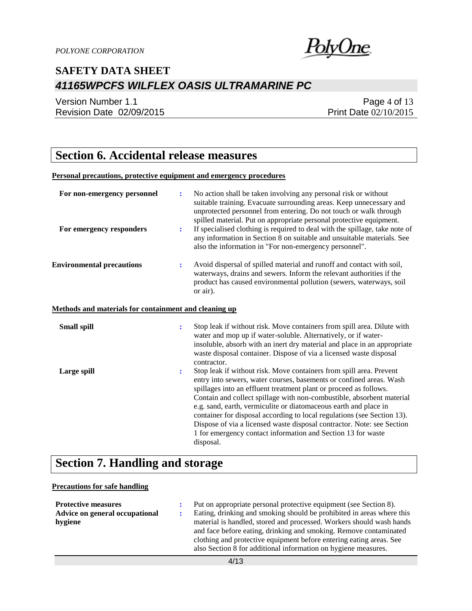

Version Number 1.1 Revision Date 02/09/2015

Page 4 of 13 Print Date 02/10/2015

## **Section 6. Accidental release measures**

#### **Personal precautions, protective equipment and emergency procedures**

| For non-emergency personnel                           | $\ddot{\cdot}$ | No action shall be taken involving any personal risk or without<br>suitable training. Evacuate surrounding areas. Keep unnecessary and<br>unprotected personnel from entering. Do not touch or walk through<br>spilled material. Put on appropriate personal protective equipment.                                                                                                                                                                                                                                                                                                             |
|-------------------------------------------------------|----------------|------------------------------------------------------------------------------------------------------------------------------------------------------------------------------------------------------------------------------------------------------------------------------------------------------------------------------------------------------------------------------------------------------------------------------------------------------------------------------------------------------------------------------------------------------------------------------------------------|
| For emergency responders                              | $\ddot{\cdot}$ | If specialised clothing is required to deal with the spillage, take note of<br>any information in Section 8 on suitable and unsuitable materials. See<br>also the information in "For non-emergency personnel".                                                                                                                                                                                                                                                                                                                                                                                |
| <b>Environmental precautions</b>                      | $\ddot{\cdot}$ | Avoid dispersal of spilled material and runoff and contact with soil,<br>waterways, drains and sewers. Inform the relevant authorities if the<br>product has caused environmental pollution (sewers, waterways, soil<br>or air).                                                                                                                                                                                                                                                                                                                                                               |
| Methods and materials for containment and cleaning up |                |                                                                                                                                                                                                                                                                                                                                                                                                                                                                                                                                                                                                |
| <b>Small spill</b>                                    | $\ddot{\cdot}$ | Stop leak if without risk. Move containers from spill area. Dilute with<br>water and mop up if water-soluble. Alternatively, or if water-<br>insoluble, absorb with an inert dry material and place in an appropriate<br>waste disposal container. Dispose of via a licensed waste disposal<br>contractor.                                                                                                                                                                                                                                                                                     |
| Large spill                                           | $\ddot{\cdot}$ | Stop leak if without risk. Move containers from spill area. Prevent<br>entry into sewers, water courses, basements or confined areas. Wash<br>spillages into an effluent treatment plant or proceed as follows.<br>Contain and collect spillage with non-combustible, absorbent material<br>e.g. sand, earth, vermiculite or diatomaceous earth and place in<br>container for disposal according to local regulations (see Section 13).<br>Dispose of via a licensed waste disposal contractor. Note: see Section<br>1 for emergency contact information and Section 13 for waste<br>disposal. |

## **Section 7. Handling and storage**

### **Precautions for safe handling**

| <b>Protective measures</b>     | Put on appropriate personal protective equipment (see Section 8).     |
|--------------------------------|-----------------------------------------------------------------------|
| Advice on general occupational | Eating, drinking and smoking should be prohibited in areas where this |
| hygiene                        | material is handled, stored and processed. Workers should wash hands  |
|                                | and face before eating, drinking and smoking. Remove contaminated     |
|                                | clothing and protective equipment before entering eating areas. See   |
|                                | also Section 8 for additional information on hygiene measures.        |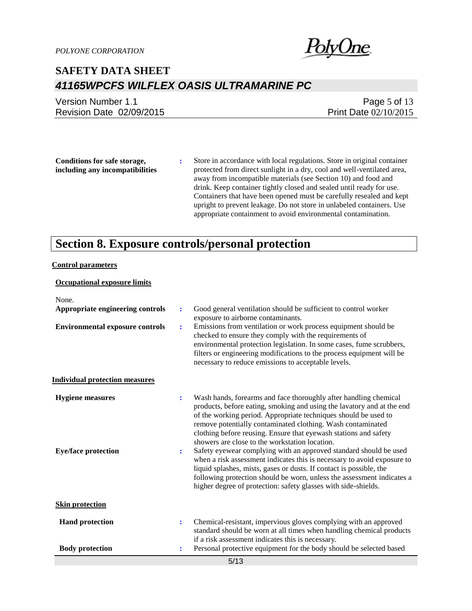

Version Number 1.1 Revision Date 02/09/2015

Page 5 of 13 Print Date 02/10/2015

**Conditions for safe storage, including any incompatibilities** **:** Store in accordance with local regulations. Store in original container protected from direct sunlight in a dry, cool and well-ventilated area, away from incompatible materials (see Section 10) and food and drink. Keep container tightly closed and sealed until ready for use. Containers that have been opened must be carefully resealed and kept upright to prevent leakage. Do not store in unlabeled containers. Use appropriate containment to avoid environmental contamination.

## **Section 8. Exposure controls/personal protection**

#### **Control parameters**

### **Occupational exposure limits** None. **Appropriate engineering controls :** Good general ventilation should be sufficient to control worker exposure to airborne contaminants. **Environmental exposure controls :** Emissions from ventilation or work process equipment should be checked to ensure they comply with the requirements of environmental protection legislation. In some cases, fume scrubbers, filters or engineering modifications to the process equipment will be necessary to reduce emissions to acceptable levels. **Individual protection measures Hygiene measures :** Wash hands, forearms and face thoroughly after handling chemical products, before eating, smoking and using the lavatory and at the end of the working period. Appropriate techniques should be used to remove potentially contaminated clothing. Wash contaminated clothing before reusing. Ensure that eyewash stations and safety showers are close to the workstation location. **Eye/face protection :** Safety eyewear complying with an approved standard should be used when a risk assessment indicates this is necessary to avoid exposure to liquid splashes, mists, gases or dusts. If contact is possible, the following protection should be worn, unless the assessment indicates a higher degree of protection: safety glasses with side-shields. **Skin protection Hand protection** : Chemical-resistant, impervious gloves complying with an approved standard should be worn at all times when handling chemical products if a risk assessment indicates this is necessary. **Body protection :** Personal protective equipment for the body should be selected based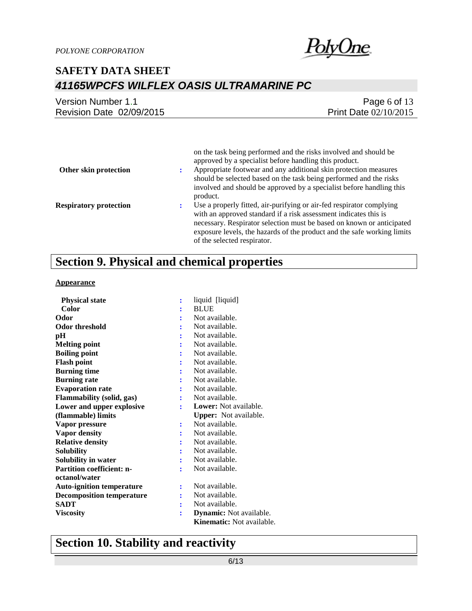

| Version Number 1.1       | Page 6 of $13$          |
|--------------------------|-------------------------|
| Revision Date 02/09/2015 | Print Date $02/10/2015$ |
|                          |                         |

| Other skin protection         | on the task being performed and the risks involved and should be<br>approved by a specialist before handling this product.<br>Appropriate footwear and any additional skin protection measures<br>should be selected based on the task being performed and the risks<br>involved and should be approved by a specialist before handling this<br>product. |
|-------------------------------|----------------------------------------------------------------------------------------------------------------------------------------------------------------------------------------------------------------------------------------------------------------------------------------------------------------------------------------------------------|
| <b>Respiratory protection</b> | Use a properly fitted, air-purifying or air-fed respirator complying<br>with an approved standard if a risk assessment indicates this is<br>necessary. Respirator selection must be based on known or anticipated<br>exposure levels, the hazards of the product and the safe working limits<br>of the selected respirator.                              |

## **Section 9. Physical and chemical properties**

#### **Appearance**

| <b>Physical state</b>            |                | liquid [liquid]                  |
|----------------------------------|----------------|----------------------------------|
| Color                            |                | <b>BLUE</b>                      |
| Odor                             |                | Not available.                   |
| Odor threshold                   |                | Not available.                   |
| pН                               |                | Not available.                   |
| <b>Melting point</b>             |                | Not available.                   |
| <b>Boiling point</b>             |                | Not available.                   |
| <b>Flash point</b>               |                | Not available.                   |
| <b>Burning time</b>              |                | Not available.                   |
| <b>Burning rate</b>              |                | Not available.                   |
| <b>Evaporation rate</b>          |                | Not available.                   |
| <b>Flammability (solid, gas)</b> |                | Not available.                   |
| Lower and upper explosive        |                | Lower: Not available.            |
| (flammable) limits               |                | <b>Upper:</b> Not available.     |
| Vapor pressure                   | $\ddot{\cdot}$ | Not available.                   |
| <b>Vapor density</b>             |                | Not available.                   |
| <b>Relative density</b>          |                | Not available.                   |
| <b>Solubility</b>                |                | Not available.                   |
| Solubility in water              |                | Not available.                   |
| <b>Partition coefficient: n-</b> |                | Not available.                   |
| octanol/water                    |                |                                  |
| <b>Auto-ignition temperature</b> | $\ddot{\cdot}$ | Not available.                   |
| <b>Decomposition temperature</b> |                | Not available.                   |
| <b>SADT</b>                      |                | Not available.                   |
| <b>Viscosity</b>                 |                | <b>Dynamic:</b> Not available.   |
|                                  |                | <b>Kinematic:</b> Not available. |

## **Section 10. Stability and reactivity**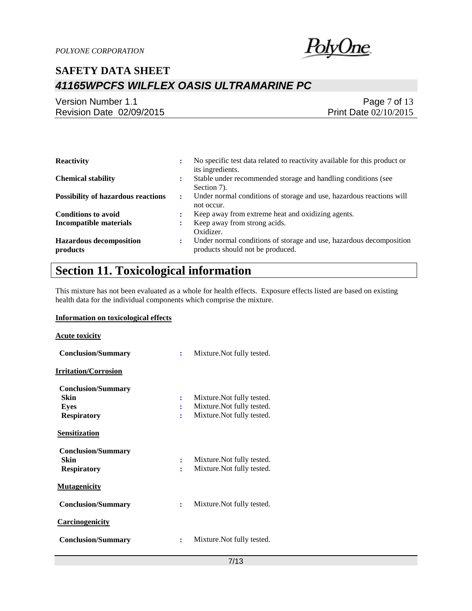

| Version Number 1.1       | Page 7 of 13          |
|--------------------------|-----------------------|
| Revision Date 02/09/2015 | Print Date 02/10/2015 |

| <b>Reactivity</b>                          | ٠              | No specific test data related to reactivity available for this product or<br>its ingredients.           |
|--------------------------------------------|----------------|---------------------------------------------------------------------------------------------------------|
| <b>Chemical stability</b>                  | ٠<br>$\bullet$ | Stable under recommended storage and handling conditions (see<br>Section 7).                            |
| <b>Possibility of hazardous reactions</b>  | :              | Under normal conditions of storage and use, hazardous reactions will<br>not occur.                      |
| <b>Conditions to avoid</b>                 |                | Keep away from extreme heat and oxidizing agents.                                                       |
| <b>Incompatible materials</b>              |                | Keep away from strong acids.<br>Oxidizer.                                                               |
| <b>Hazardous decomposition</b><br>products | ٠              | Under normal conditions of storage and use, hazardous decomposition<br>products should not be produced. |

## **Section 11. Toxicological information**

This mixture has not been evaluated as a whole for health effects. Exposure effects listed are based on existing health data for the individual components which comprise the mixture.

### **Information on toxicological effects**

### **Acute toxicity**

| <b>Conclusion/Summary</b>                                       | Mixture. Not fully tested.<br>÷                                                                          |
|-----------------------------------------------------------------|----------------------------------------------------------------------------------------------------------|
| <u> Irritation/Corrosion</u>                                    |                                                                                                          |
| <b>Conclusion/Summary</b><br>Skin<br>Eyes<br><b>Respiratory</b> | Mixture. Not fully tested.<br>$\ddot{\cdot}$<br>Mixture. Not fully tested.<br>Mixture. Not fully tested. |
| Sensitization                                                   |                                                                                                          |
| <b>Conclusion/Summary</b><br>Skin<br><b>Respiratory</b>         | Mixture. Not fully tested.<br>Mixture. Not fully tested.                                                 |
| <b>Mutagenicity</b>                                             |                                                                                                          |
| <b>Conclusion/Summary</b>                                       | Mixture. Not fully tested.<br>÷                                                                          |
| Carcinogenicity                                                 |                                                                                                          |
| <b>Conclusion/Summary</b>                                       | Mixture. Not fully tested.                                                                               |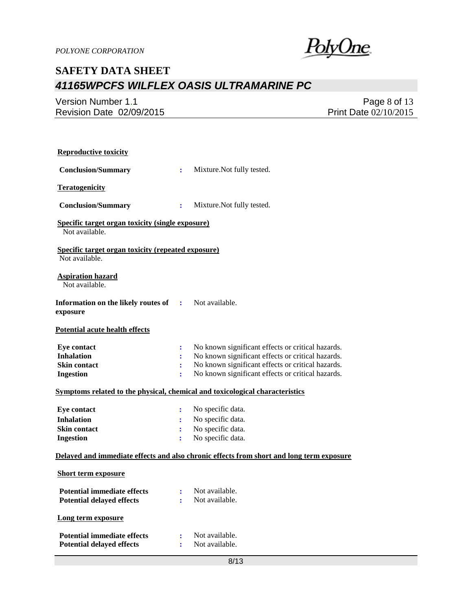<u>PolyOne</u>

Version Number 1.1 Revision Date 02/09/2015

Page 8 of 13 Print Date 02/10/2015

| <b>Reproductive toxicity</b>                                                             |                      |                                                   |  |  |
|------------------------------------------------------------------------------------------|----------------------|---------------------------------------------------|--|--|
| <b>Conclusion/Summary</b>                                                                | ÷                    | Mixture. Not fully tested.                        |  |  |
| <b>Teratogenicity</b>                                                                    |                      |                                                   |  |  |
| <b>Conclusion/Summary</b>                                                                | ÷                    | Mixture. Not fully tested.                        |  |  |
| <b>Specific target organ toxicity (single exposure)</b><br>Not available.                |                      |                                                   |  |  |
| <b>Specific target organ toxicity (repeated exposure)</b><br>Not available.              |                      |                                                   |  |  |
| <b>Aspiration hazard</b><br>Not available.                                               |                      |                                                   |  |  |
| Information on the likely routes of<br>exposure                                          | $\ddot{\phantom{a}}$ | Not available.                                    |  |  |
| <b>Potential acute health effects</b>                                                    |                      |                                                   |  |  |
| <b>Eye contact</b>                                                                       | ፡                    | No known significant effects or critical hazards. |  |  |
| <b>Inhalation</b>                                                                        | $\ddot{\cdot}$       | No known significant effects or critical hazards. |  |  |
| <b>Skin contact</b>                                                                      | $\ddot{\cdot}$       | No known significant effects or critical hazards. |  |  |
| <b>Ingestion</b>                                                                         | $\ddot{\cdot}$       | No known significant effects or critical hazards. |  |  |
| Symptoms related to the physical, chemical and toxicological characteristics             |                      |                                                   |  |  |
| <b>Eye contact</b>                                                                       | $\ddot{\cdot}$       | No specific data.                                 |  |  |
| <b>Inhalation</b>                                                                        |                      | No specific data.                                 |  |  |
| <b>Skin contact</b>                                                                      | ÷                    | No specific data.                                 |  |  |
| <b>Ingestion</b>                                                                         | ÷                    | No specific data.                                 |  |  |
| Delayed and immediate effects and also chronic effects from short and long term exposure |                      |                                                   |  |  |
| <b>Short term exposure</b>                                                               |                      |                                                   |  |  |
| <b>Potential immediate effects</b>                                                       |                      | Not available.                                    |  |  |
| <b>Potential delayed effects</b>                                                         | ÷                    | Not available.                                    |  |  |
| Long term exposure                                                                       |                      |                                                   |  |  |
| <b>Potential immediate effects</b>                                                       | $\ddot{\cdot}$       | Not available.                                    |  |  |
| <b>Potential delayed effects</b>                                                         | ÷                    | Not available.                                    |  |  |
|                                                                                          |                      |                                                   |  |  |
|                                                                                          |                      | 8/13                                              |  |  |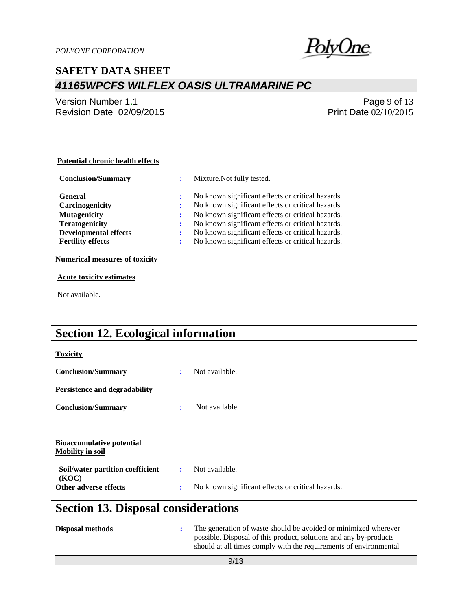

Version Number 1.1 Revision Date 02/09/2015

Page 9 of 13 Print Date 02/10/2015

### **Potential chronic health effects**

| <b>Conclusion/Summary</b>    |   | Mixture. Not fully tested.                        |
|------------------------------|---|---------------------------------------------------|
| <b>General</b>               |   | No known significant effects or critical hazards. |
| Carcinogenicity              |   | No known significant effects or critical hazards. |
| <b>Mutagenicity</b>          |   | No known significant effects or critical hazards. |
| <b>Teratogenicity</b>        |   | No known significant effects or critical hazards. |
| <b>Developmental effects</b> |   | No known significant effects or critical hazards. |
| <b>Fertility effects</b>     | ÷ | No known significant effects or critical hazards. |
|                              |   |                                                   |

**Numerical measures of toxicity**

**Acute toxicity estimates**

Not available.

## **Section 12. Ecological information**

| <b>Toxicity</b>                                             |   |                                                   |
|-------------------------------------------------------------|---|---------------------------------------------------|
| <b>Conclusion/Summary</b>                                   | ÷ | Not available.                                    |
| Persistence and degradability                               |   |                                                   |
| <b>Conclusion/Summary</b>                                   | ÷ | Not available.                                    |
|                                                             |   |                                                   |
| <b>Bioaccumulative potential</b><br><b>Mobility in soil</b> |   |                                                   |
| Soil/water partition coefficient<br>(KOC)                   | ÷ | Not available.                                    |
| Other adverse effects                                       | ÷ | No known significant effects or critical hazards. |
|                                                             |   |                                                   |

## **Section 13. Disposal considerations**

| <b>Disposal methods</b> | The generation of waste should be avoided or minimized wherever<br>possible. Disposal of this product, solutions and any by-products<br>should at all times comply with the requirements of environmental |
|-------------------------|-----------------------------------------------------------------------------------------------------------------------------------------------------------------------------------------------------------|
|                         |                                                                                                                                                                                                           |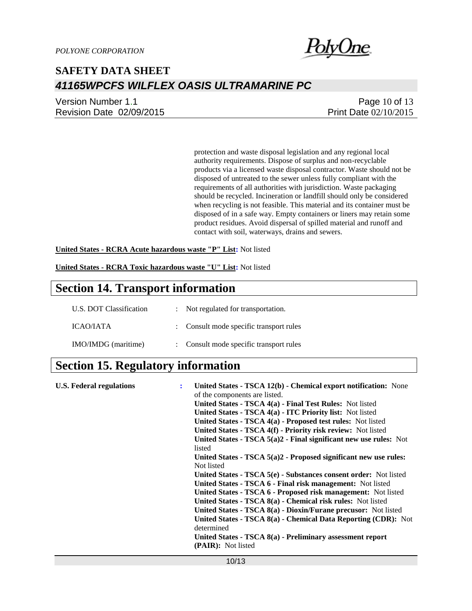

Version Number 1.1 Revision Date 02/09/2015

Page 10 of 13 Print Date 02/10/2015

protection and waste disposal legislation and any regional local authority requirements. Dispose of surplus and non-recyclable products via a licensed waste disposal contractor. Waste should not be disposed of untreated to the sewer unless fully compliant with the requirements of all authorities with jurisdiction. Waste packaging should be recycled. Incineration or landfill should only be considered when recycling is not feasible. This material and its container must be disposed of in a safe way. Empty containers or liners may retain some product residues. Avoid dispersal of spilled material and runoff and contact with soil, waterways, drains and sewers.

**United States - RCRA Acute hazardous waste "P" List:** Not listed

**United States - RCRA Toxic hazardous waste "U" List:** Not listed

### **Section 14. Transport information**

| U.S. DOT Classification | : Not regulated for transportation.     |
|-------------------------|-----------------------------------------|
| <b>ICAO/JATA</b>        | : Consult mode specific transport rules |
| IMO/IMDG (maritime)     | : Consult mode specific transport rules |

### **Section 15. Regulatory information**

| <b>U.S. Federal regulations</b> | ÷ | United States - TSCA 12(b) - Chemical export notification: None               |
|---------------------------------|---|-------------------------------------------------------------------------------|
|                                 |   | of the components are listed.                                                 |
|                                 |   | <b>United States - TSCA 4(a) - Final Test Rules:</b> Not listed               |
|                                 |   | United States - TSCA 4(a) - ITC Priority list: Not listed                     |
|                                 |   | United States - TSCA 4(a) - Proposed test rules: Not listed                   |
|                                 |   | United States - TSCA 4(f) - Priority risk review: Not listed                  |
|                                 |   | United States - TSCA $5(a)2$ - Final significant new use rules: Not<br>listed |
|                                 |   | United States - TSCA $5(a)2$ - Proposed significant new use rules:            |
|                                 |   | Not listed                                                                    |
|                                 |   | United States - TSCA 5(e) - Substances consent order: Not listed              |
|                                 |   | United States - TSCA 6 - Final risk management: Not listed                    |
|                                 |   | United States - TSCA 6 - Proposed risk management: Not listed                 |
|                                 |   | United States - TSCA 8(a) - Chemical risk rules: Not listed                   |
|                                 |   | United States - TSCA 8(a) - Dioxin/Furane precusor: Not listed                |
|                                 |   | United States - TSCA 8(a) - Chemical Data Reporting (CDR): Not<br>determined  |
|                                 |   | United States - TSCA 8(a) - Preliminary assessment report                     |
|                                 |   | (PAIR): Not listed                                                            |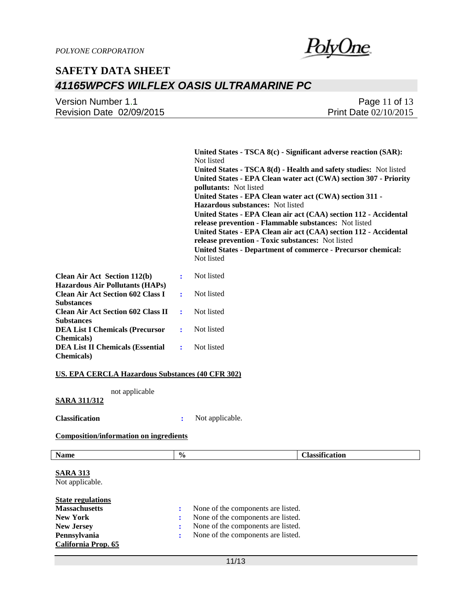| Version Number 1.1       | Page 11 of 13                |
|--------------------------|------------------------------|
| Revision Date 02/09/2015 | <b>Print Date 02/10/2015</b> |

**United States - TSCA 8(c) - Significant adverse reaction (SAR):**  Not listed **United States - TSCA 8(d) - Health and safety studies:** Not listed **United States - EPA Clean water act (CWA) section 307 - Priority pollutants:** Not listed **United States - EPA Clean water act (CWA) section 311 - Hazardous substances:** Not listed **United States - EPA Clean air act (CAA) section 112 - Accidental release prevention - Flammable substances:** Not listed **United States - EPA Clean air act (CAA) section 112 - Accidental release prevention - Toxic substances:** Not listed **United States - Department of commerce - Precursor chemical:**  Not listed **:** Not listed

| <b>Clean Air Act Section 112(b)</b><br><b>Hazardous Air Pollutants (HAPs)</b> |                       | Not listed   |
|-------------------------------------------------------------------------------|-----------------------|--------------|
| <b>Clean Air Act Section 602 Class I</b>                                      | $\bullet$ . $\bullet$ | Not listed   |
| <b>Substances</b>                                                             |                       |              |
| <b>Clean Air Act Section 602 Class II</b>                                     | $\sim 10^{-11}$       | Not listed   |
| <b>Substances</b>                                                             |                       |              |
| <b>DEA List I Chemicals (Precursor</b>                                        |                       | Not listed   |
| <b>Chemicals</b> )                                                            |                       |              |
| <b>DEA List II Chemicals (Essential</b>                                       |                       | : Not listed |
| <b>Chemicals</b> )                                                            |                       |              |

#### **US. EPA CERCLA Hazardous Substances (40 CFR 302)**

not applicable

### **SARA 311/312**

**Classification :** Not applicable.

#### **Composition/information on ingredients**

| <b>Name</b>                        | $\%$                               | <b>Classification</b> |
|------------------------------------|------------------------------------|-----------------------|
| <b>SARA 313</b><br>Not applicable. |                                    |                       |
| <b>State regulations</b>           |                                    |                       |
| <b>Massachusetts</b>               | None of the components are listed. |                       |
| <b>New York</b>                    | None of the components are listed. |                       |
| <b>New Jersey</b>                  | None of the components are listed. |                       |
| Pennsylvania                       | None of the components are listed. |                       |
| California Prop. 65                |                                    |                       |

11/13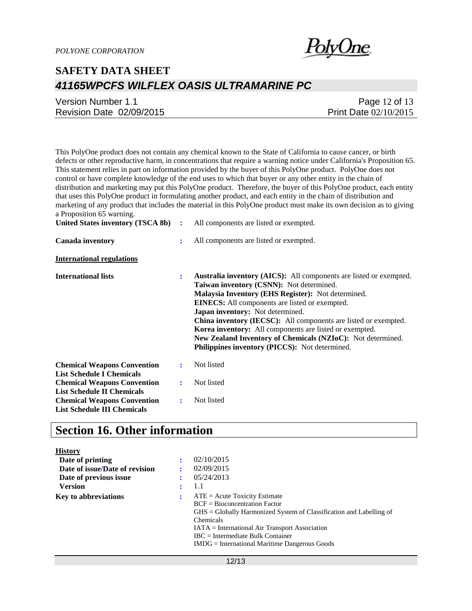

| Version Number 1.1       | Page 12 of 13                |
|--------------------------|------------------------------|
| Revision Date 02/09/2015 | <b>Print Date 02/10/2015</b> |

This PolyOne product does not contain any chemical known to the State of California to cause cancer, or birth defects or other reproductive harm, in concentrations that require a warning notice under California's Proposition 65. This statement relies in part on information provided by the buyer of this PolyOne product. PolyOne does not control or have complete knowledge of the end uses to which that buyer or any other entity in the chain of distribution and marketing may put this PolyOne product. Therefore, the buyer of this PolyOne product, each entity that uses this PolyOne product in formulating another product, and each entity in the chain of distribution and marketing of any product that includes the material in this PolyOne product must make its own decision as to giving a Proposition 65 warning.

| United States inventory (TSCA 8b)                                        | $\ddot{\cdot}$ | All components are listed or exempted.                                                                                                                                                                                                                                                                                                                                                                                                                                                                                  |
|--------------------------------------------------------------------------|----------------|-------------------------------------------------------------------------------------------------------------------------------------------------------------------------------------------------------------------------------------------------------------------------------------------------------------------------------------------------------------------------------------------------------------------------------------------------------------------------------------------------------------------------|
| Canada inventory                                                         | ÷              | All components are listed or exempted.                                                                                                                                                                                                                                                                                                                                                                                                                                                                                  |
| <b>International regulations</b>                                         |                |                                                                                                                                                                                                                                                                                                                                                                                                                                                                                                                         |
| <b>International lists</b>                                               | ÷              | <b>Australia inventory (AICS):</b> All components are listed or exempted.<br>Taiwan inventory (CSNN): Not determined.<br>Malaysia Inventory (EHS Register): Not determined.<br><b>EINECS:</b> All components are listed or exempted.<br>Japan inventory: Not determined.<br>China inventory (IECSC): All components are listed or exempted.<br>Korea inventory: All components are listed or exempted.<br>New Zealand Inventory of Chemicals (NZIoC): Not determined.<br>Philippines inventory (PICCS): Not determined. |
| <b>Chemical Weapons Convention</b><br><b>List Schedule I Chemicals</b>   | ÷              | Not listed                                                                                                                                                                                                                                                                                                                                                                                                                                                                                                              |
| <b>Chemical Weapons Convention</b><br><b>List Schedule II Chemicals</b>  | ÷              | Not listed                                                                                                                                                                                                                                                                                                                                                                                                                                                                                                              |
| <b>Chemical Weapons Convention</b><br><b>List Schedule III Chemicals</b> | ÷              | Not listed                                                                                                                                                                                                                                                                                                                                                                                                                                                                                                              |

### **Section 16. Other information**

| <b>History</b>                 |           |                                                                                                                                                                                                                          |
|--------------------------------|-----------|--------------------------------------------------------------------------------------------------------------------------------------------------------------------------------------------------------------------------|
| Date of printing               | $\bullet$ | 02/10/2015                                                                                                                                                                                                               |
| Date of issue/Date of revision |           | 02/09/2015                                                                                                                                                                                                               |
| Date of previous issue         |           | 05/24/2013                                                                                                                                                                                                               |
| <b>Version</b>                 | $\bullet$ | 1.1                                                                                                                                                                                                                      |
| <b>Key to abbreviations</b>    | ÷         | $ATE = Acute Toxicity Estimate$<br>$BCF = Bioconcentration Factor$<br>$HSS =$ Globally Harmonized System of Classification and Labelling of<br><b>Chemicals</b><br><b>IATA</b> = International Air Transport Association |
|                                |           | $\text{IRC}$ = Intermediate Bulk Container<br>$IMDG = International\,$ Maritime Dangerous Goods                                                                                                                          |